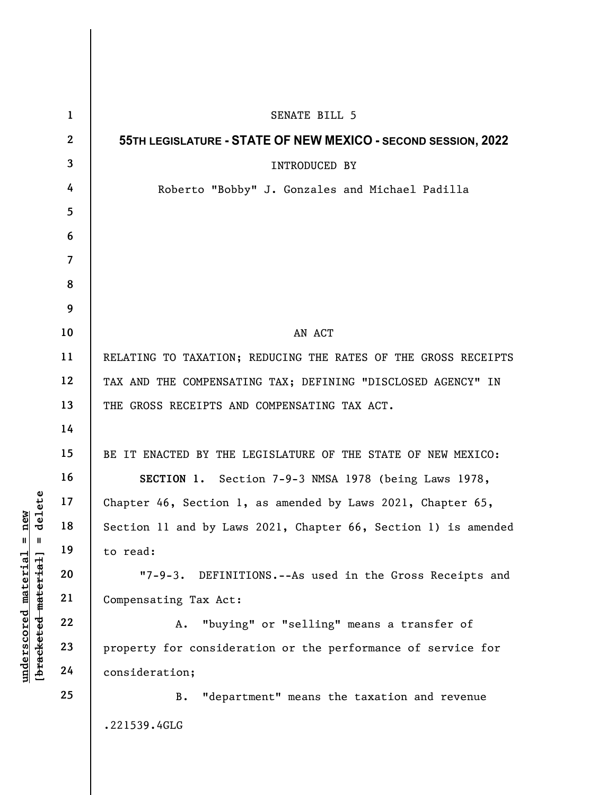|                                                                                      | $\mathbf{1}$    | SENATE BILL 5                                                  |
|--------------------------------------------------------------------------------------|-----------------|----------------------------------------------------------------|
| delete<br>new<br>$\mathsf{I}$<br>Ш<br>[bracketed-material]<br>$underscored$ material | $\mathbf{2}$    | 55TH LEGISLATURE - STATE OF NEW MEXICO - SECOND SESSION, 2022  |
|                                                                                      | $\mathbf{3}$    | INTRODUCED BY                                                  |
|                                                                                      | 4               | Roberto "Bobby" J. Gonzales and Michael Padilla                |
|                                                                                      | $5\overline{)}$ |                                                                |
|                                                                                      | 6               |                                                                |
|                                                                                      | $\overline{7}$  |                                                                |
|                                                                                      | 8               |                                                                |
|                                                                                      | 9               |                                                                |
|                                                                                      | 10              | AN ACT                                                         |
|                                                                                      | 11              | RELATING TO TAXATION; REDUCING THE RATES OF THE GROSS RECEIPTS |
|                                                                                      | 12              | TAX AND THE COMPENSATING TAX; DEFINING "DISCLOSED AGENCY" IN   |
|                                                                                      | 13              | THE GROSS RECEIPTS AND COMPENSATING TAX ACT.                   |
|                                                                                      | 14              |                                                                |
|                                                                                      | 15              | BE IT ENACTED BY THE LEGISLATURE OF THE STATE OF NEW MEXICO:   |
|                                                                                      | 16              | SECTION 1. Section 7-9-3 NMSA 1978 (being Laws 1978,           |
|                                                                                      | 17              | Chapter 46, Section 1, as amended by Laws 2021, Chapter 65,    |
|                                                                                      | 18              | Section 11 and by Laws 2021, Chapter 66, Section 1) is amended |
|                                                                                      | 19              | to read:                                                       |
|                                                                                      | 20              | "7-9-3. DEFINITIONS.--As used in the Gross Receipts and        |
|                                                                                      | 21              | Compensating Tax Act:                                          |
|                                                                                      | 22              | "buying" or "selling" means a transfer of<br>Α.                |
|                                                                                      | 23              | property for consideration or the performance of service for   |
|                                                                                      | 24              | consideration;                                                 |
|                                                                                      | 25              | "department" means the taxation and revenue<br><b>B.</b>       |
|                                                                                      |                 | .221539.4GLG                                                   |
|                                                                                      |                 |                                                                |

 $\mathbf{I}$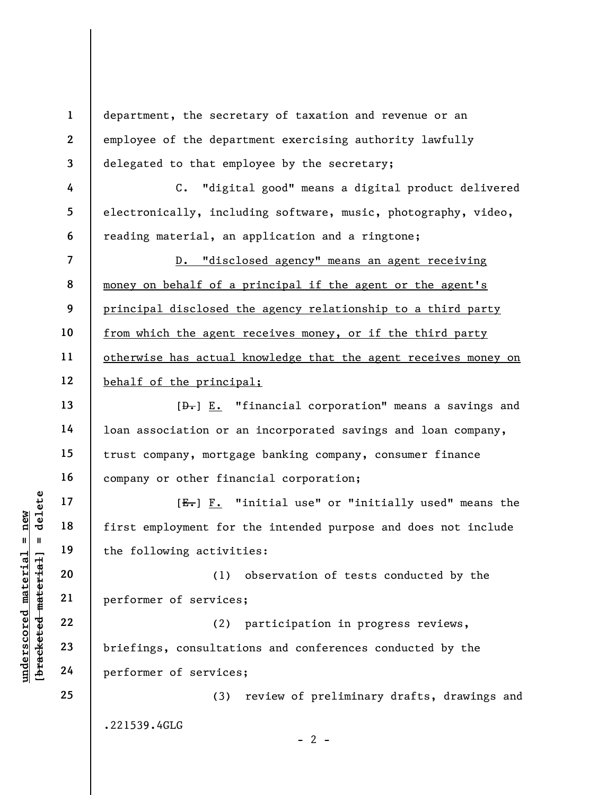1 2 3 department, the secretary of taxation and revenue or an employee of the department exercising authority lawfully delegated to that employee by the secretary;

C. "digital good" means a digital product delivered electronically, including software, music, photography, video, reading material, an application and a ringtone;

7 8 9 10 11 12 D. "disclosed agency" means an agent receiving money on behalf of a principal if the agent or the agent's principal disclosed the agency relationship to a third party from which the agent receives money, or if the third party otherwise has actual knowledge that the agent receives money on behalf of the principal;

 $[\frac{D-1}{2}]$  E. "financial corporation" means a savings and loan association or an incorporated savings and loan company, trust company, mortgage banking company, consumer finance company or other financial corporation;

 $[E_{\tau}]$  F. "initial use" or "initially used" means the first employment for the intended purpose and does not include the following activities:

(1) observation of tests conducted by the performer of services;

understand material material material end of the following activity<br>
were the following activity<br>
were the following activity<br>
21 performer of services<br>
23 performer of services<br>
24 performer of services (2) participation in progress reviews, briefings, consultations and conferences conducted by the performer of services;

> (3) review of preliminary drafts, drawings and .221539.4GLG

> > $- 2 -$

4

5

6

13

14

15

16

17

18

19

20

21

22

23

24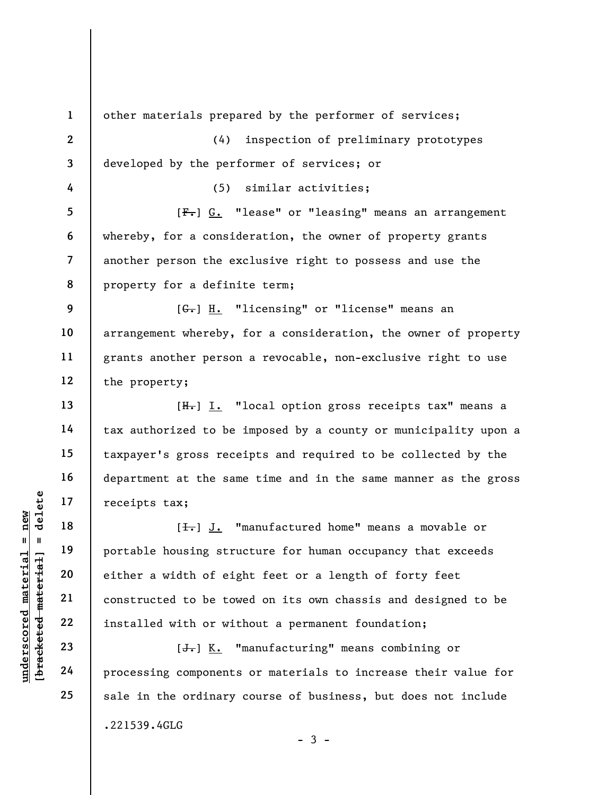1 2 3 4 5 6 7 8 9 10 11 12 13 14 15 16 17 18 other materials prepared by the performer of services; (4) inspection of preliminary prototypes developed by the performer of services; or (5) similar activities; [F.] G. "lease" or "leasing" means an arrangement whereby, for a consideration, the owner of property grants another person the exclusive right to possess and use the property for a definite term; [G.] H. "licensing" or "license" means an arrangement whereby, for a consideration, the owner of property grants another person a revocable, non-exclusive right to use the property; [H.] I. "local option gross receipts tax" means a tax authorized to be imposed by a county or municipality upon a taxpayer's gross receipts and required to be collected by the department at the same time and in the same manner as the gross receipts tax; [<del>I.</del>] J. "manufactured home" means a movable or

underscored material = new [bracketed material] = delete portable housing structure for human occupancy that exceeds either a width of eight feet or a length of forty feet constructed to be towed on its own chassis and designed to be installed with or without a permanent foundation;

[<del>J.</del>] K. "manufacturing" means combining or processing components or materials to increase their value for sale in the ordinary course of business, but does not include .221539.4GLG  $-3 -$ 

19

20

21

22

23

24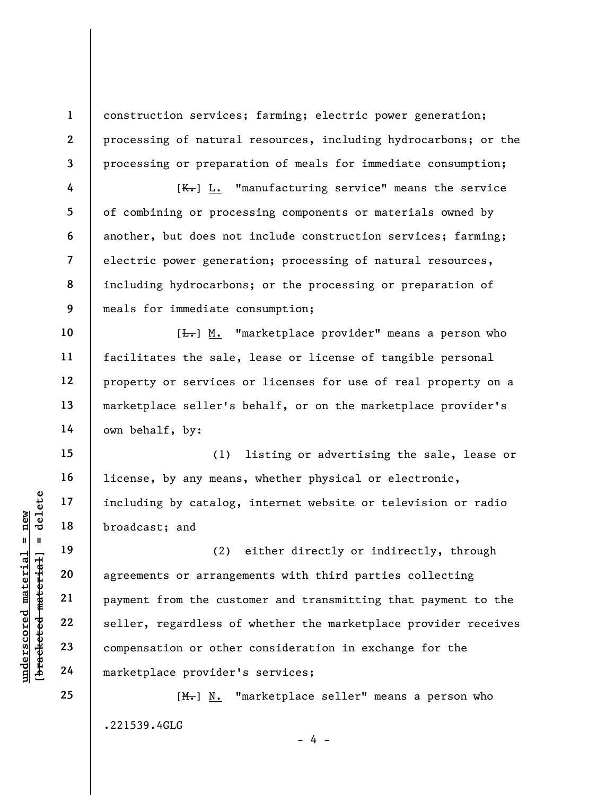construction services; farming; electric power generation; processing of natural resources, including hydrocarbons; or the processing or preparation of meals for immediate consumption;

 $[K_{\tau}]$  L. "manufacturing service" means the service of combining or processing components or materials owned by another, but does not include construction services; farming; electric power generation; processing of natural resources, including hydrocarbons; or the processing or preparation of meals for immediate consumption;

[ $\frac{L}{L}$ ] M. "marketplace provider" means a person who facilitates the sale, lease or license of tangible personal property or services or licenses for use of real property on a marketplace seller's behalf, or on the marketplace provider's own behalf, by:

(1) listing or advertising the sale, lease or license, by any means, whether physical or electronic, including by catalog, internet website or television or radio broadcast; and

underscored material = new [bracketed material] = delete (2) either directly or indirectly, through agreements or arrangements with third parties collecting payment from the customer and transmitting that payment to the seller, regardless of whether the marketplace provider receives compensation or other consideration in exchange for the marketplace provider's services;

> [M.] N. "marketplace seller" means a person who .221539.4GLG

> > $- 4 -$

25

24

1

2

3

4

5

6

7

8

9

10

11

12

13

14

15

16

17

18

19

20

21

22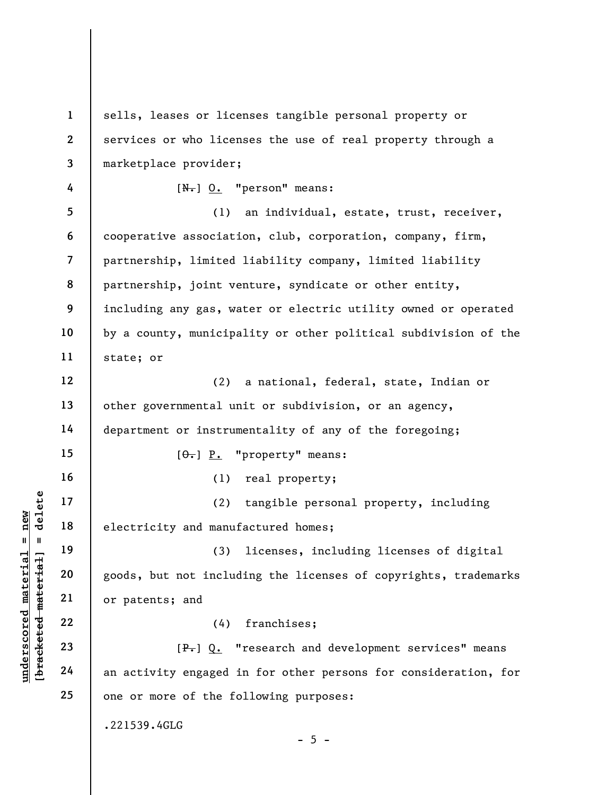$\begin{array}{c|c|c|c} \mathbf{u} & \mathbf{u} & \mathbf{v} & \mathbf{v} & \mathbf{v} \\ \hline \mathbf{u} & \mathbf{u} & \mathbf{v} & \mathbf{v} & \mathbf{v} \\ \hline \mathbf{u} & \mathbf{u} & \mathbf{v} & \mathbf{v} & \mathbf{v} \\ \hline \mathbf{u} & \mathbf{v} & \mathbf{v} & \mathbf{v} & \mathbf{v} & \mathbf{v} \\ \hline \mathbf{u} & \mathbf{v} & \mathbf{v} & \mathbf{v} & \mathbf{v} & \mathbf{v} \\ \hline \mathbf$ 1 2 3 4 5 6 7 8 9 10 11 12 13 14 15 16 17 18 19 20 21 22 23 24 25 sells, leases or licenses tangible personal property or services or who licenses the use of real property through a marketplace provider;  $[N_{\bullet}]$  O. "person" means: (1) an individual, estate, trust, receiver, cooperative association, club, corporation, company, firm, partnership, limited liability company, limited liability partnership, joint venture, syndicate or other entity, including any gas, water or electric utility owned or operated by a county, municipality or other political subdivision of the state; or (2) a national, federal, state, Indian or other governmental unit or subdivision, or an agency, department or instrumentality of any of the foregoing;  $[ $\theta$ ]-] P. "property" means:$ (1) real property; (2) tangible personal property, including electricity and manufactured homes; (3) licenses, including licenses of digital goods, but not including the licenses of copyrights, trademarks or patents; and (4) franchises; [P.] Q. "research and development services" means an activity engaged in for other persons for consideration, for one or more of the following purposes: .221539.4GLG  $- 5 -$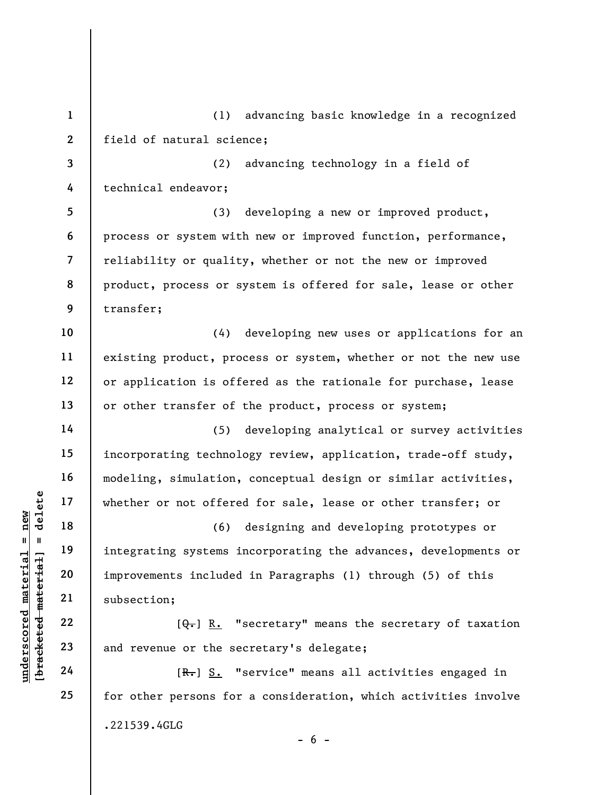1 2 (1) advancing basic knowledge in a recognized field of natural science;

3 4 (2) advancing technology in a field of technical endeavor;

5 6 7 8 9 (3) developing a new or improved product, process or system with new or improved function, performance, reliability or quality, whether or not the new or improved product, process or system is offered for sale, lease or other transfer;

10 11 12 13 (4) developing new uses or applications for an existing product, process or system, whether or not the new use or application is offered as the rationale for purchase, lease or other transfer of the product, process or system;

(5) developing analytical or survey activities incorporating technology review, application, trade-off study, modeling, simulation, conceptual design or similar activities, whether or not offered for sale, lease or other transfer; or

under 17<br>  $\begin{array}{c|c|c|c} \n\text{u} & \text{u} & \text{u} & \text{u} & \text{u} & \text{u} & \text{u} & \text{u} & \text{u} & \text{u} & \text{u} & \text{u} & \text{u} & \text{u} & \text{u} & \text{u} & \text{u} & \text{u} & \text{u} & \text{u} & \text{u} & \text{u} & \text{u} & \text{u} & \text{u} & \text{u} & \text{u} & \text{u} & \text{u} & \text{u} & \text{u} & \text{u} & \text{$ (6) designing and developing prototypes or integrating systems incorporating the advances, developments or improvements included in Paragraphs (1) through (5) of this subsection;

 $[\theta_{\overline{\tau}}]$  R. "secretary" means the secretary of taxation and revenue or the secretary's delegate;

[R.] S. "service" means all activities engaged in for other persons for a consideration, which activities involve .221539.4GLG  $- 6 -$ 

14

15

16

17

18

19

20

21

22

23

24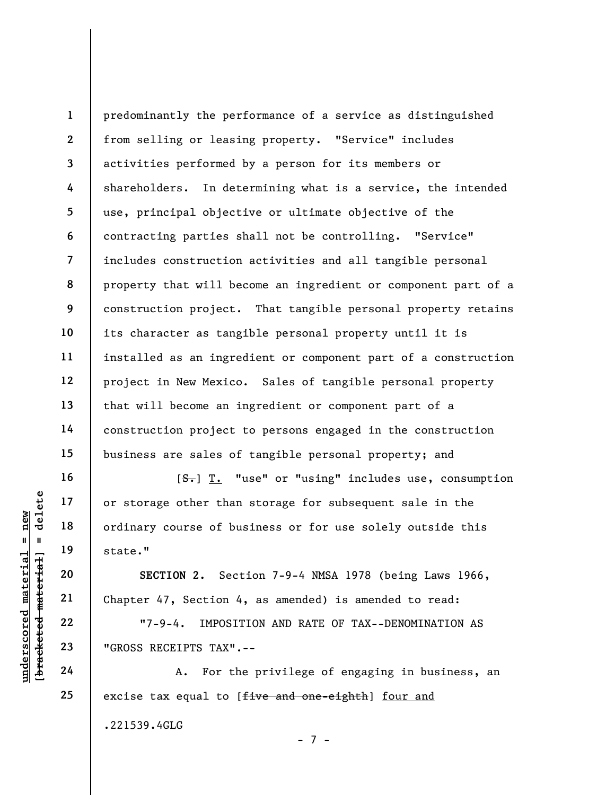1 2 3 4 5 6 7 8 9 10 11 12 13 14 15 predominantly the performance of a service as distinguished from selling or leasing property. "Service" includes activities performed by a person for its members or shareholders. In determining what is a service, the intended use, principal objective or ultimate objective of the contracting parties shall not be controlling. "Service" includes construction activities and all tangible personal property that will become an ingredient or component part of a construction project. That tangible personal property retains its character as tangible personal property until it is installed as an ingredient or component part of a construction project in New Mexico. Sales of tangible personal property that will become an ingredient or component part of a construction project to persons engaged in the construction business are sales of tangible personal property; and

UNDERENTER TAX".<br>
UNDERENTED MATERIAL SECTION 2. Section 4<br>
UNDERENTED 22<br>
UNDERENT 22<br>
UNDERENT 47, Section 4<br>
23<br>
UNDERENT 47, Section 4<br>
23<br>
UNDERENT 19<br>
UNDER 22<br>
UNDER 17-9-4. IMPOSIT<br>
CROSS RECEIPTS TAX".<br>
A. For the [S.] T. "use" or "using" includes use, consumption or storage other than storage for subsequent sale in the ordinary course of business or for use solely outside this state."

SECTION 2. Section 7-9-4 NMSA 1978 (being Laws 1966, Chapter 47, Section 4, as amended) is amended to read:

"7-9-4. IMPOSITION AND RATE OF TAX--DENOMINATION AS "GROSS RECEIPTS TAX".--

A. For the privilege of engaging in business, an excise tax equal to [five and one-eighth] four and .221539.4GLG - 7 -

16

17

18

19

20

21

22

23

24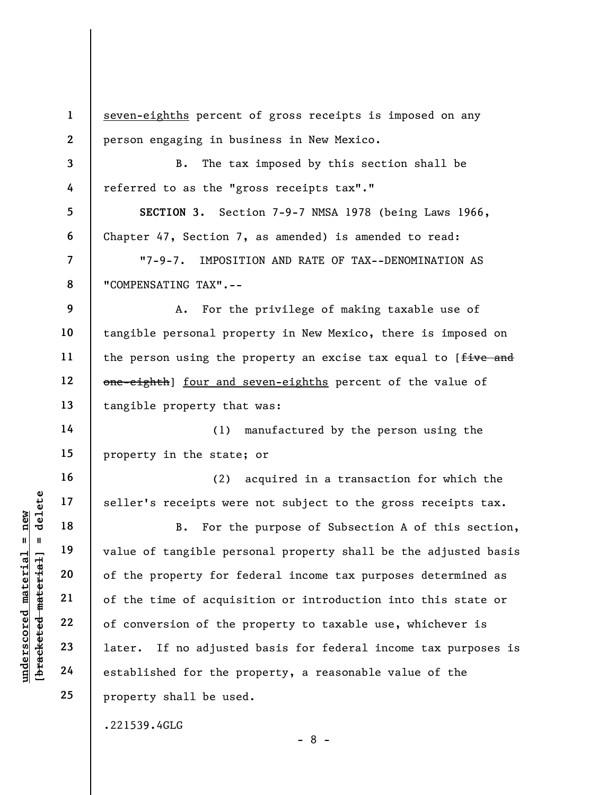1 2 seven-eighths percent of gross receipts is imposed on any person engaging in business in New Mexico.

B. The tax imposed by this section shall be referred to as the "gross receipts tax"."

SECTION 3. Section 7-9-7 NMSA 1978 (being Laws 1966, Chapter 47, Section 7, as amended) is amended to read:

"7-9-7. IMPOSITION AND RATE OF TAX--DENOMINATION AS "COMPENSATING TAX".--

9 10 11 12 13 A. For the privilege of making taxable use of tangible personal property in New Mexico, there is imposed on the person using the property an excise tax equal to [five and one-eighth] four and seven-eighths percent of the value of tangible property that was:

14 15 (1) manufactured by the person using the property in the state; or

(2) acquired in a transaction for which the seller's receipts were not subject to the gross receipts tax.

understood material seller's receipts were interested material of the property for form of the property for form of the conversion of the 23 later. If no adjuste established for the property for the property for  $\frac{22}{4}$ B. For the purpose of Subsection A of this section, value of tangible personal property shall be the adjusted basis of the property for federal income tax purposes determined as of the time of acquisition or introduction into this state or of conversion of the property to taxable use, whichever is later. If no adjusted basis for federal income tax purposes is established for the property, a reasonable value of the property shall be used.

- 8 -

.221539.4GLG

3

4

5

6

7

8

16

17

18

19

20

21

22

23

24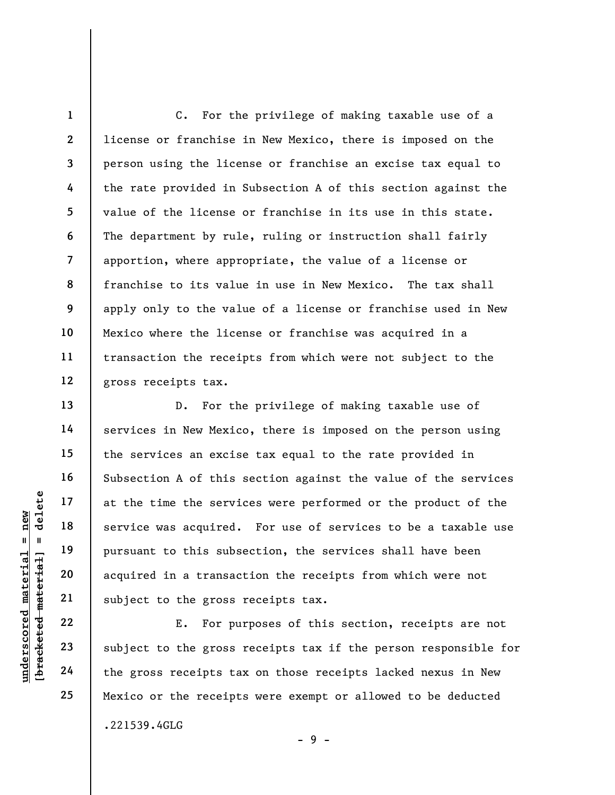1 2 3 4 5 6 7 8 9 10 11 12 C. For the privilege of making taxable use of a license or franchise in New Mexico, there is imposed on the person using the license or franchise an excise tax equal to the rate provided in Subsection A of this section against the value of the license or franchise in its use in this state. The department by rule, ruling or instruction shall fairly apportion, where appropriate, the value of a license or franchise to its value in use in New Mexico. The tax shall apply only to the value of a license or franchise used in New Mexico where the license or franchise was acquired in a transaction the receipts from which were not subject to the gross receipts tax.

underscored material = new [bracketed material] = delete D. For the privilege of making taxable use of services in New Mexico, there is imposed on the person using the services an excise tax equal to the rate provided in Subsection A of this section against the value of the services at the time the services were performed or the product of the service was acquired. For use of services to be a taxable use pursuant to this subsection, the services shall have been acquired in a transaction the receipts from which were not subject to the gross receipts tax.

E. For purposes of this section, receipts are not subject to the gross receipts tax if the person responsible for the gross receipts tax on those receipts lacked nexus in New Mexico or the receipts were exempt or allowed to be deducted .221539.4GLG  $-9 -$ 

13

14

15

16

17

18

19

20

21

22

23

24